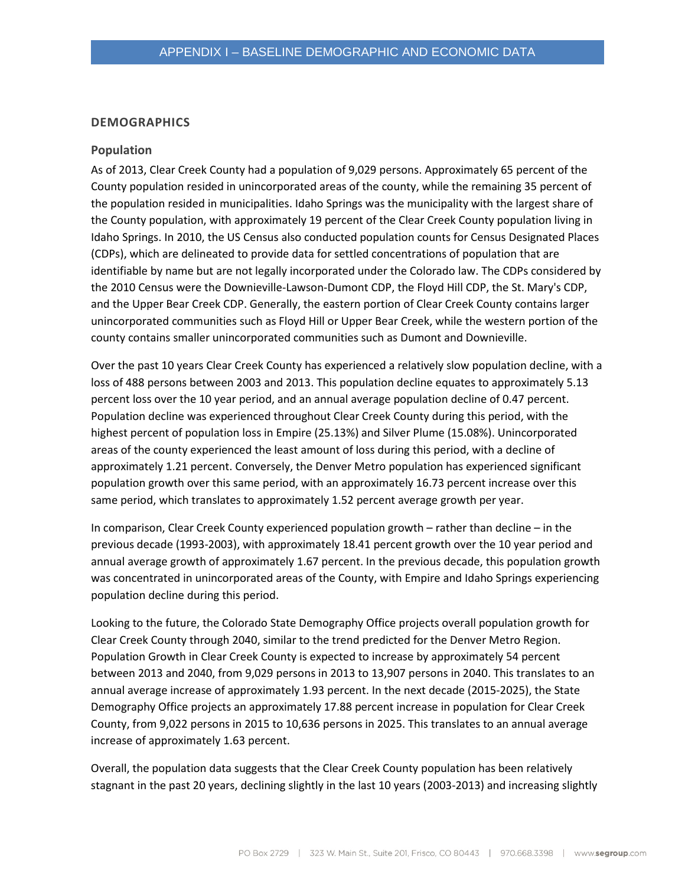#### **DEMOGRAPHICS**

#### **Population**

As of 2013, Clear Creek County had a population of 9,029 persons. Approximately 65 percent of the County population resided in unincorporated areas of the county, while the remaining 35 percent of the population resided in municipalities. Idaho Springs was the municipality with the largest share of the County population, with approximately 19 percent of the Clear Creek County population living in Idaho Springs. In 2010, the US Census also conducted population counts for Census Designated Places (CDPs), which are delineated to provide data for settled concentrations of population that are identifiable by name but are not legally incorporated under the Colorado law. The CDPs considered by the 2010 Census were the Downieville-Lawson-Dumont CDP, the Floyd Hill CDP, the St. Mary's CDP, and the Upper Bear Creek CDP. Generally, the eastern portion of Clear Creek County contains larger unincorporated communities such as Floyd Hill or Upper Bear Creek, while the western portion of the county contains smaller unincorporated communities such as Dumont and Downieville.

Over the past 10 years Clear Creek County has experienced a relatively slow population decline, with a loss of 488 persons between 2003 and 2013. This population decline equates to approximately 5.13 percent loss over the 10 year period, and an annual average population decline of 0.47 percent. Population decline was experienced throughout Clear Creek County during this period, with the highest percent of population loss in Empire (25.13%) and Silver Plume (15.08%). Unincorporated areas of the county experienced the least amount of loss during this period, with a decline of approximately 1.21 percent. Conversely, the Denver Metro population has experienced significant population growth over this same period, with an approximately 16.73 percent increase over this same period, which translates to approximately 1.52 percent average growth per year.

In comparison, Clear Creek County experienced population growth – rather than decline – in the previous decade (1993-2003), with approximately 18.41 percent growth over the 10 year period and annual average growth of approximately 1.67 percent. In the previous decade, this population growth was concentrated in unincorporated areas of the County, with Empire and Idaho Springs experiencing population decline during this period.

Looking to the future, the Colorado State Demography Office projects overall population growth for Clear Creek County through 2040, similar to the trend predicted for the Denver Metro Region. Population Growth in Clear Creek County is expected to increase by approximately 54 percent between 2013 and 2040, from 9,029 persons in 2013 to 13,907 persons in 2040. This translates to an annual average increase of approximately 1.93 percent. In the next decade (2015-2025), the State Demography Office projects an approximately 17.88 percent increase in population for Clear Creek County, from 9,022 persons in 2015 to 10,636 persons in 2025. This translates to an annual average increase of approximately 1.63 percent.

Overall, the population data suggests that the Clear Creek County population has been relatively stagnant in the past 20 years, declining slightly in the last 10 years (2003-2013) and increasing slightly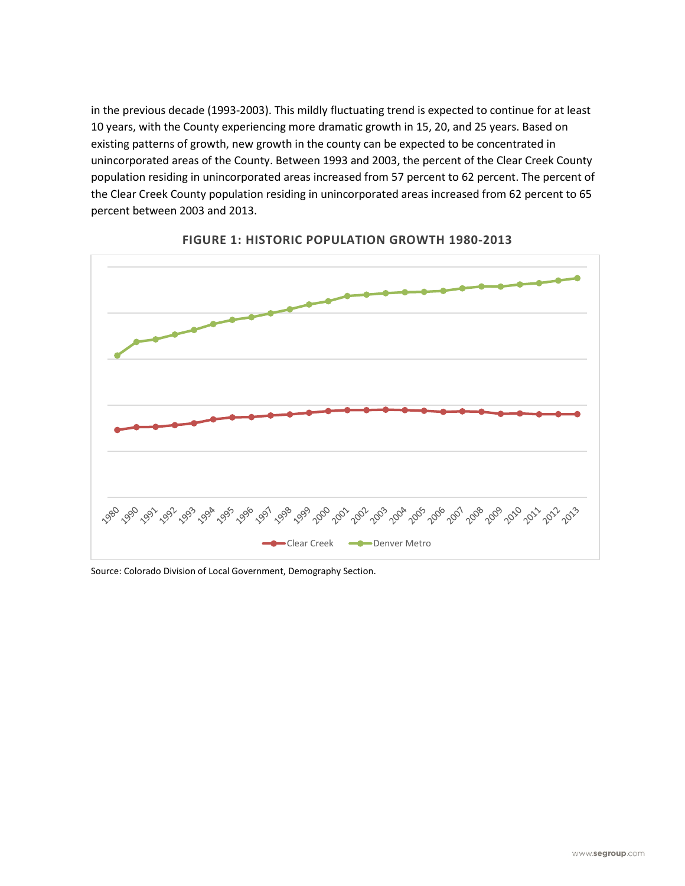in the previous decade (1993-2003). This mildly fluctuating trend is expected to continue for at least 10 years, with the County experiencing more dramatic growth in 15, 20, and 25 years. Based on existing patterns of growth, new growth in the county can be expected to be concentrated in unincorporated areas of the County. Between 1993 and 2003, the percent of the Clear Creek County population residing in unincorporated areas increased from 57 percent to 62 percent. The percent of the Clear Creek County population residing in unincorporated areas increased from 62 percent to 65 percent between 2003 and 2013.





Source: Colorado Division of Local Government, Demography Section.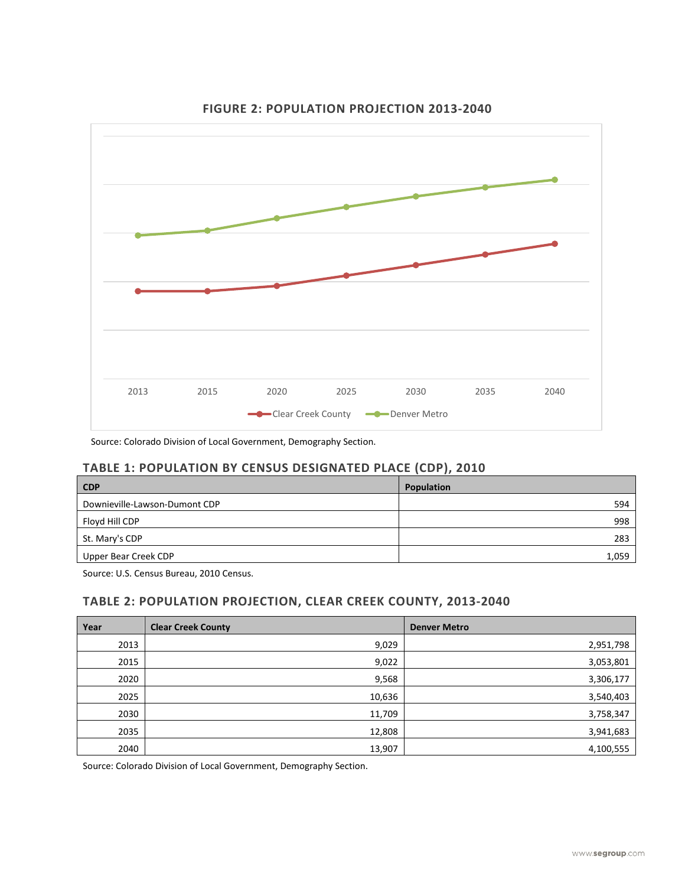

# **FIGURE 2: POPULATION PROJECTION 2013-2040**

Source: Colorado Division of Local Government, Demography Section.

## **TABLE 1: POPULATION BY CENSUS DESIGNATED PLACE (CDP), 2010**

| <b>CDP</b>                    | <b>Population</b> |
|-------------------------------|-------------------|
| Downieville-Lawson-Dumont CDP | 594               |
| Floyd Hill CDP                | 998               |
| St. Mary's CDP                | 283               |
| Upper Bear Creek CDP          | 1,059             |

Source: U.S. Census Bureau, 2010 Census.

# **TABLE 2: POPULATION PROJECTION, CLEAR CREEK COUNTY, 2013-2040**

| Year | <b>Clear Creek County</b> | <b>Denver Metro</b> |
|------|---------------------------|---------------------|
| 2013 | 9,029                     | 2,951,798           |
| 2015 | 9,022                     | 3,053,801           |
| 2020 | 9,568                     | 3,306,177           |
| 2025 | 10,636                    | 3,540,403           |
| 2030 | 11,709                    | 3,758,347           |
| 2035 | 12,808                    | 3,941,683           |
| 2040 | 13,907                    | 4,100,555           |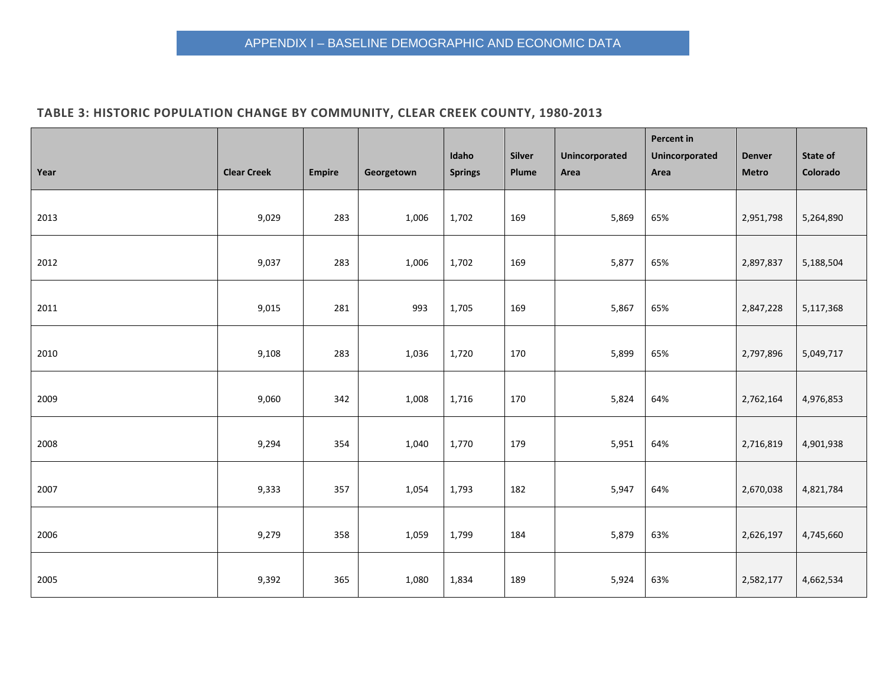# **TABLE 3: HISTORIC POPULATION CHANGE BY COMMUNITY, CLEAR CREEK COUNTY, 1980-2013**

| Year | <b>Clear Creek</b> | <b>Empire</b> | Georgetown | Idaho<br><b>Springs</b> | Silver<br>Plume | Unincorporated<br>Area | Percent in<br>Unincorporated<br>Area | <b>Denver</b><br><b>Metro</b> | State of<br>Colorado |
|------|--------------------|---------------|------------|-------------------------|-----------------|------------------------|--------------------------------------|-------------------------------|----------------------|
| 2013 | 9,029              | 283           | 1,006      | 1,702                   | 169             | 5,869                  | 65%                                  | 2,951,798                     | 5,264,890            |
| 2012 | 9,037              | 283           | 1,006      | 1,702                   | 169             | 5,877                  | 65%                                  | 2,897,837                     | 5,188,504            |
| 2011 | 9,015              | 281           | 993        | 1,705                   | 169             | 5,867                  | 65%                                  | 2,847,228                     | 5,117,368            |
| 2010 | 9,108              | 283           | 1,036      | 1,720                   | 170             | 5,899                  | 65%                                  | 2,797,896                     | 5,049,717            |
| 2009 | 9,060              | 342           | 1,008      | 1,716                   | 170             | 5,824                  | 64%                                  | 2,762,164                     | 4,976,853            |
| 2008 | 9,294              | 354           | 1,040      | 1,770                   | 179             | 5,951                  | 64%                                  | 2,716,819                     | 4,901,938            |
| 2007 | 9,333              | 357           | 1,054      | 1,793                   | 182             | 5,947                  | 64%                                  | 2,670,038                     | 4,821,784            |
| 2006 | 9,279              | 358           | 1,059      | 1,799                   | 184             | 5,879                  | 63%                                  | 2,626,197                     | 4,745,660            |
| 2005 | 9,392              | 365           | 1,080      | 1,834                   | 189             | 5,924                  | 63%                                  | 2,582,177                     | 4,662,534            |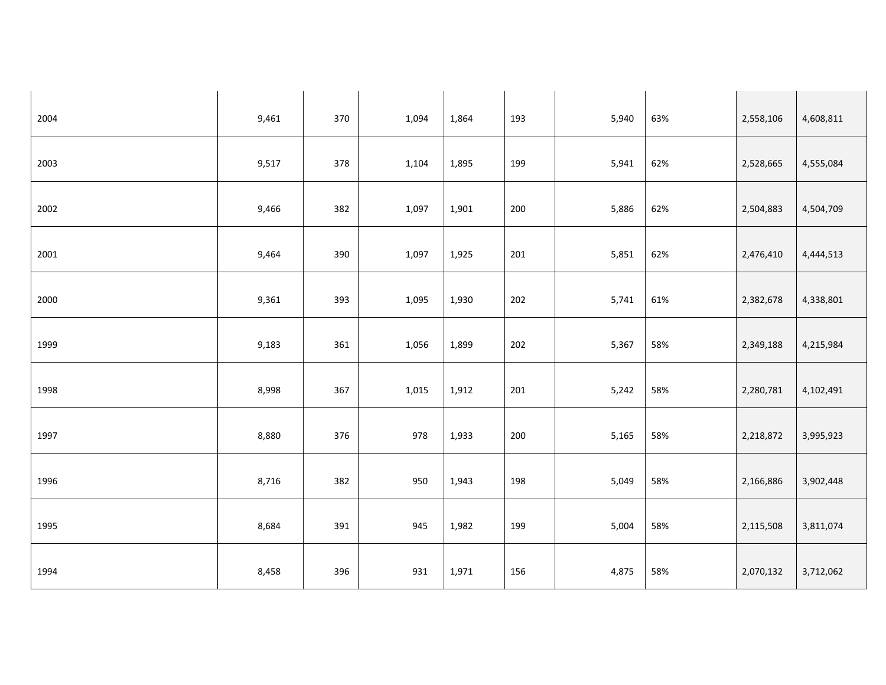| 2004 | 9,461 | 370 | 1,094 | 1,864 | 193 | 5,940 | 63% | 2,558,106 | 4,608,811 |
|------|-------|-----|-------|-------|-----|-------|-----|-----------|-----------|
| 2003 | 9,517 | 378 | 1,104 | 1,895 | 199 | 5,941 | 62% | 2,528,665 | 4,555,084 |
| 2002 | 9,466 | 382 | 1,097 | 1,901 | 200 | 5,886 | 62% | 2,504,883 | 4,504,709 |
| 2001 | 9,464 | 390 | 1,097 | 1,925 | 201 | 5,851 | 62% | 2,476,410 | 4,444,513 |
| 2000 | 9,361 | 393 | 1,095 | 1,930 | 202 | 5,741 | 61% | 2,382,678 | 4,338,801 |
| 1999 | 9,183 | 361 | 1,056 | 1,899 | 202 | 5,367 | 58% | 2,349,188 | 4,215,984 |
| 1998 | 8,998 | 367 | 1,015 | 1,912 | 201 | 5,242 | 58% | 2,280,781 | 4,102,491 |
| 1997 | 8,880 | 376 | 978   | 1,933 | 200 | 5,165 | 58% | 2,218,872 | 3,995,923 |
| 1996 | 8,716 | 382 | 950   | 1,943 | 198 | 5,049 | 58% | 2,166,886 | 3,902,448 |
| 1995 | 8,684 | 391 | 945   | 1,982 | 199 | 5,004 | 58% | 2,115,508 | 3,811,074 |
| 1994 | 8,458 | 396 | 931   | 1,971 | 156 | 4,875 | 58% | 2,070,132 | 3,712,062 |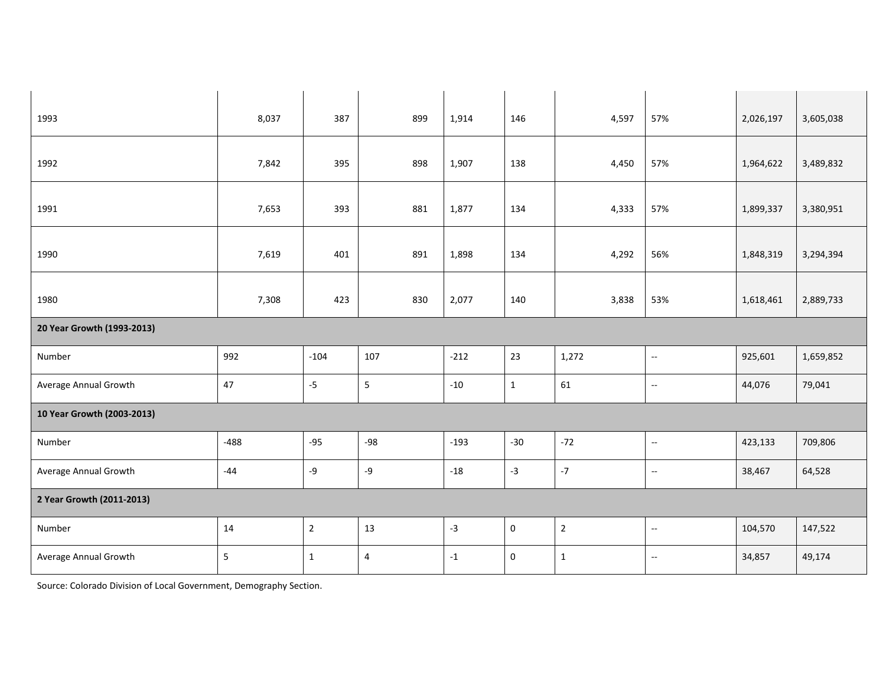| 1993                       | 8,037  | 387            | 899            | 1,914  | 146          | 4,597          | 57%                       | 2,026,197 | 3,605,038 |
|----------------------------|--------|----------------|----------------|--------|--------------|----------------|---------------------------|-----------|-----------|
| 1992                       | 7,842  | 395            | 898            | 1,907  | 138          | 4,450          | 57%                       | 1,964,622 | 3,489,832 |
| 1991                       | 7,653  | 393            | 881            | 1,877  | 134          | 4,333          | 57%                       | 1,899,337 | 3,380,951 |
| 1990                       | 7,619  | 401            | 891            | 1,898  | 134          | 4,292          | 56%                       | 1,848,319 | 3,294,394 |
| 1980                       | 7,308  | 423            | 830            | 2,077  | 140          | 3,838          | 53%                       | 1,618,461 | 2,889,733 |
| 20 Year Growth (1993-2013) |        |                |                |        |              |                |                           |           |           |
| Number                     | 992    | $-104$         | 107            | $-212$ | 23           | 1,272          | $\sim$                    | 925,601   | 1,659,852 |
| Average Annual Growth      | 47     | $-5$           | $\overline{5}$ | $-10$  | $\mathbf{1}$ | 61             | $\sim$                    | 44,076    | 79,041    |
| 10 Year Growth (2003-2013) |        |                |                |        |              |                |                           |           |           |
| Number                     | $-488$ | $-95$          | $-98$          | $-193$ | $-30$        | $-72$          | $\sim$                    | 423,133   | 709,806   |
| Average Annual Growth      | $-44$  | -9             | $-9$           | $-18$  | $-3$         | $-7$           | 4                         | 38,467    | 64,528    |
| 2 Year Growth (2011-2013)  |        |                |                |        |              |                |                           |           |           |
| Number                     | 14     | $\overline{2}$ | 13             | $-3$   | $\pmb{0}$    | $\overline{2}$ | $\mathbb{L}^{\mathbb{L}}$ | 104,570   | 147,522   |
| Average Annual Growth      | 5      | $\mathbf{1}$   | 4              | $-1$   | $\pmb{0}$    | $\mathbf{1}$   | $\sim$                    | 34,857    | 49,174    |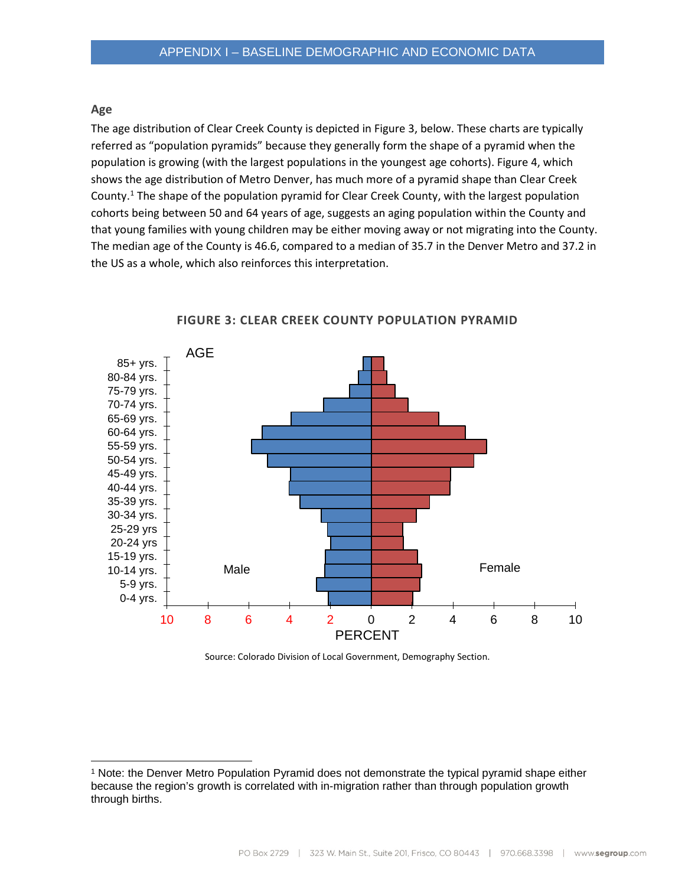#### **Age**

The age distribution of Clear Creek County is depicted in Figure 3, below. These charts are typically referred as "population pyramids" because they generally form the shape of a pyramid when the population is growing (with the largest populations in the youngest age cohorts). Figure 4, which shows the age distribution of Metro Denver, has much more of a pyramid shape than Clear Creek County.<sup>[1](#page-6-0)</sup> The shape of the population pyramid for Clear Creek County, with the largest population cohorts being between 50 and 64 years of age, suggests an aging population within the County and that young families with young children may be either moving away or not migrating into the County. The median age of the County is 46.6, compared to a median of 35.7 in the Denver Metro and 37.2 in the US as a whole, which also reinforces this interpretation.



**FIGURE 3: CLEAR CREEK COUNTY POPULATION PYRAMID**

<span id="page-6-0"></span> <sup>1</sup> Note: the Denver Metro Population Pyramid does not demonstrate the typical pyramid shape either because the region's growth is correlated with in-migration rather than through population growth through births.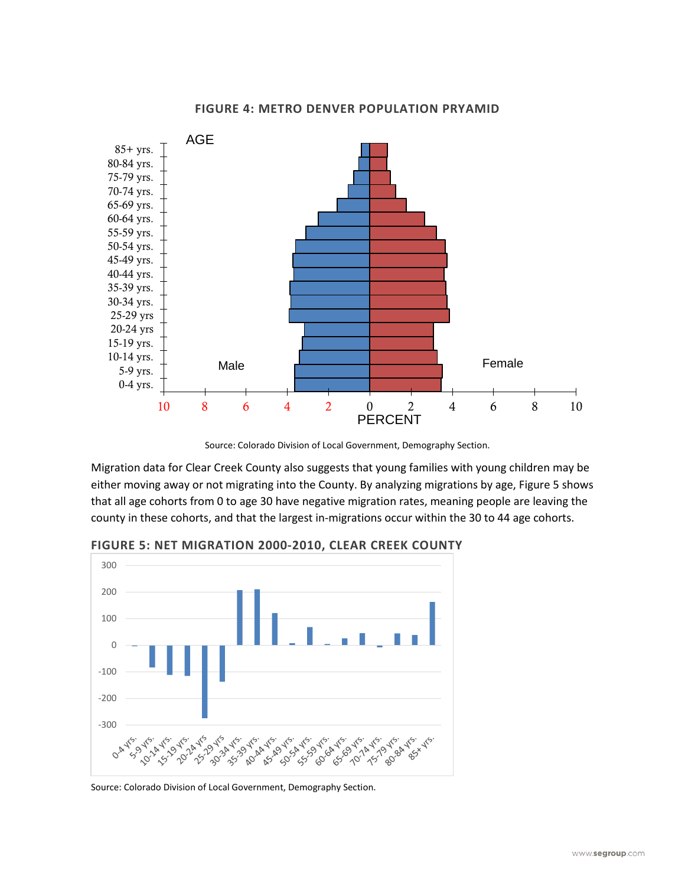

#### **FIGURE 4: METRO DENVER POPULATION PRYAMID**

Migration data for Clear Creek County also suggests that young families with young children may be either moving away or not migrating into the County. By analyzing migrations by age, Figure 5 shows that all age cohorts from 0 to age 30 have negative migration rates, meaning people are leaving the county in these cohorts, and that the largest in-migrations occur within the 30 to 44 age cohorts.



**FIGURE 5: NET MIGRATION 2000-2010, CLEAR CREEK COUNTY**

Source: Colorado Division of Local Government, Demography Section.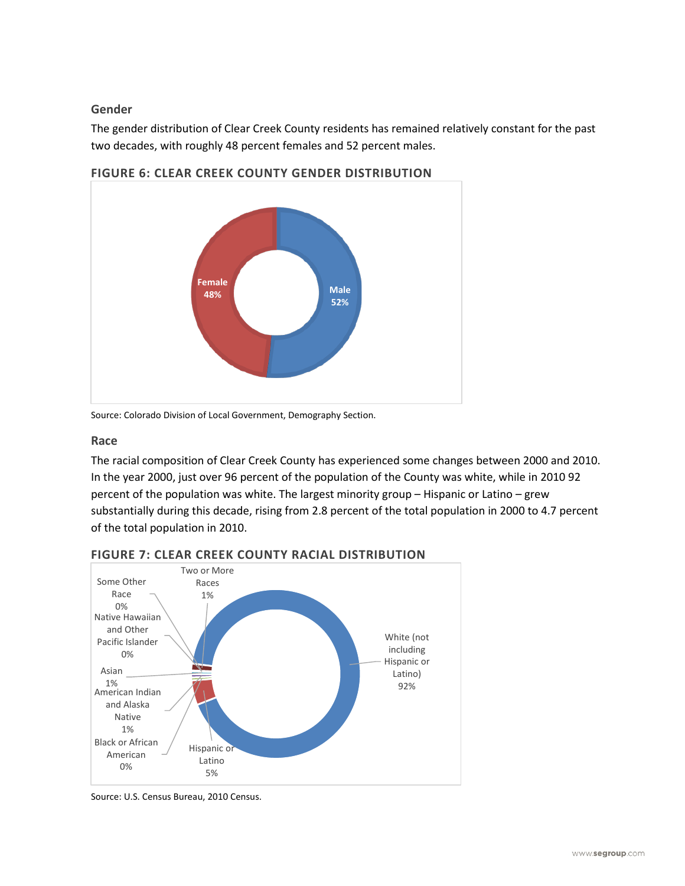## **Gender**

The gender distribution of Clear Creek County residents has remained relatively constant for the past two decades, with roughly 48 percent females and 52 percent males.



**FIGURE 6: CLEAR CREEK COUNTY GENDER DISTRIBUTION**

Source: Colorado Division of Local Government, Demography Section.

## **Race**

The racial composition of Clear Creek County has experienced some changes between 2000 and 2010. In the year 2000, just over 96 percent of the population of the County was white, while in 2010 92 percent of the population was white. The largest minority group – Hispanic or Latino – grew substantially during this decade, rising from 2.8 percent of the total population in 2000 to 4.7 percent of the total population in 2010.



**FIGURE 7: CLEAR CREEK COUNTY RACIAL DISTRIBUTION**

Source: U.S. Census Bureau, 2010 Census.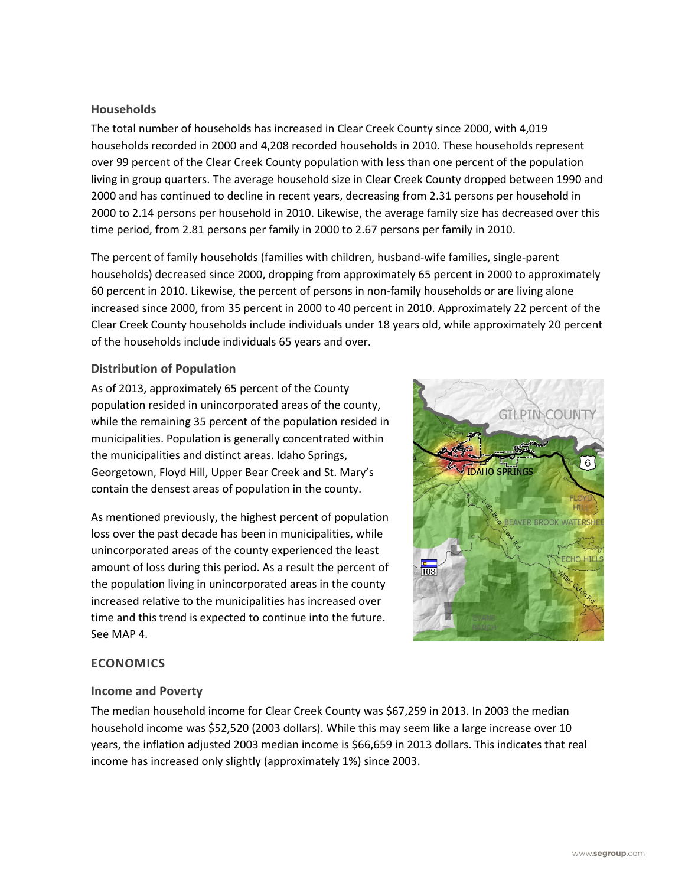### **Households**

The total number of households has increased in Clear Creek County since 2000, with 4,019 households recorded in 2000 and 4,208 recorded households in 2010. These households represent over 99 percent of the Clear Creek County population with less than one percent of the population living in group quarters. The average household size in Clear Creek County dropped between 1990 and 2000 and has continued to decline in recent years, decreasing from 2.31 persons per household in 2000 to 2.14 persons per household in 2010. Likewise, the average family size has decreased over this time period, from 2.81 persons per family in 2000 to 2.67 persons per family in 2010.

The percent of family households (families with children, husband-wife families, single-parent households) decreased since 2000, dropping from approximately 65 percent in 2000 to approximately 60 percent in 2010. Likewise, the percent of persons in non-family households or are living alone increased since 2000, from 35 percent in 2000 to 40 percent in 2010. Approximately 22 percent of the Clear Creek County households include individuals under 18 years old, while approximately 20 percent of the households include individuals 65 years and over.

## **Distribution of Population**

As of 2013, approximately 65 percent of the County population resided in unincorporated areas of the county, while the remaining 35 percent of the population resided in municipalities. Population is generally concentrated within the municipalities and distinct areas. Idaho Springs, Georgetown, Floyd Hill, Upper Bear Creek and St. Mary's contain the densest areas of population in the county.

As mentioned previously, the highest percent of population loss over the past decade has been in municipalities, while unincorporated areas of the county experienced the least amount of loss during this period. As a result the percent of the population living in unincorporated areas in the county increased relative to the municipalities has increased over time and this trend is expected to continue into the future. See MAP 4.



## **ECONOMICS**

## **Income and Poverty**

The median household income for Clear Creek County was \$67,259 in 2013. In 2003 the median household income was \$52,520 (2003 dollars). While this may seem like a large increase over 10 years, the inflation adjusted 2003 median income is \$66,659 in 2013 dollars. This indicates that real income has increased only slightly (approximately 1%) since 2003.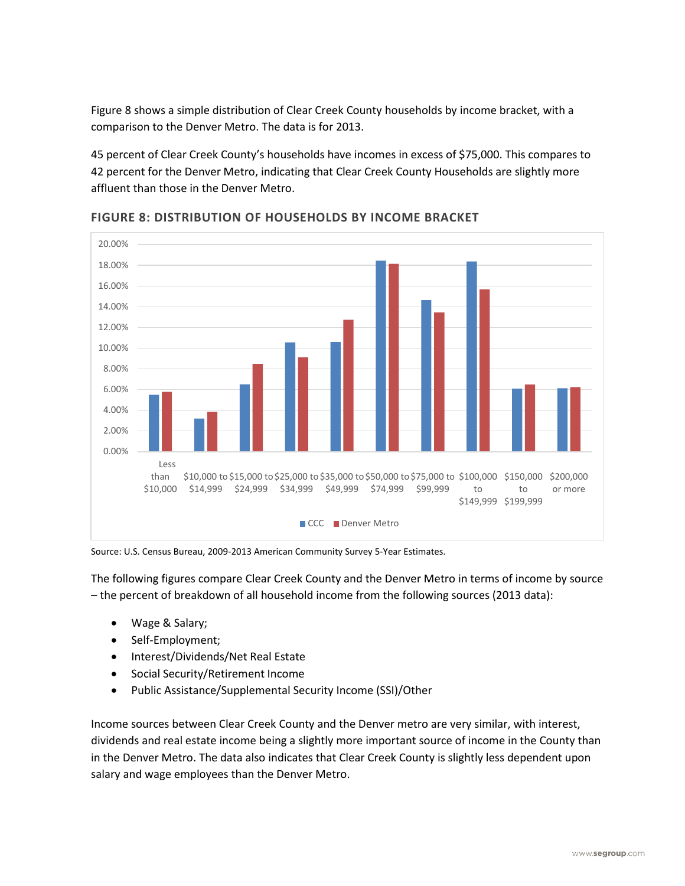Figure 8 shows a simple distribution of Clear Creek County households by income bracket, with a comparison to the Denver Metro. The data is for 2013.

45 percent of Clear Creek County's households have incomes in excess of \$75,000. This compares to 42 percent for the Denver Metro, indicating that Clear Creek County Households are slightly more affluent than those in the Denver Metro.



**FIGURE 8: DISTRIBUTION OF HOUSEHOLDS BY INCOME BRACKET**

Source: U.S. Census Bureau, 2009-2013 American Community Survey 5-Year Estimates.

The following figures compare Clear Creek County and the Denver Metro in terms of income by source – the percent of breakdown of all household income from the following sources (2013 data):

- Wage & Salary;
- Self-Employment;
- Interest/Dividends/Net Real Estate
- Social Security/Retirement Income
- Public Assistance/Supplemental Security Income (SSI)/Other

Income sources between Clear Creek County and the Denver metro are very similar, with interest, dividends and real estate income being a slightly more important source of income in the County than in the Denver Metro. The data also indicates that Clear Creek County is slightly less dependent upon salary and wage employees than the Denver Metro.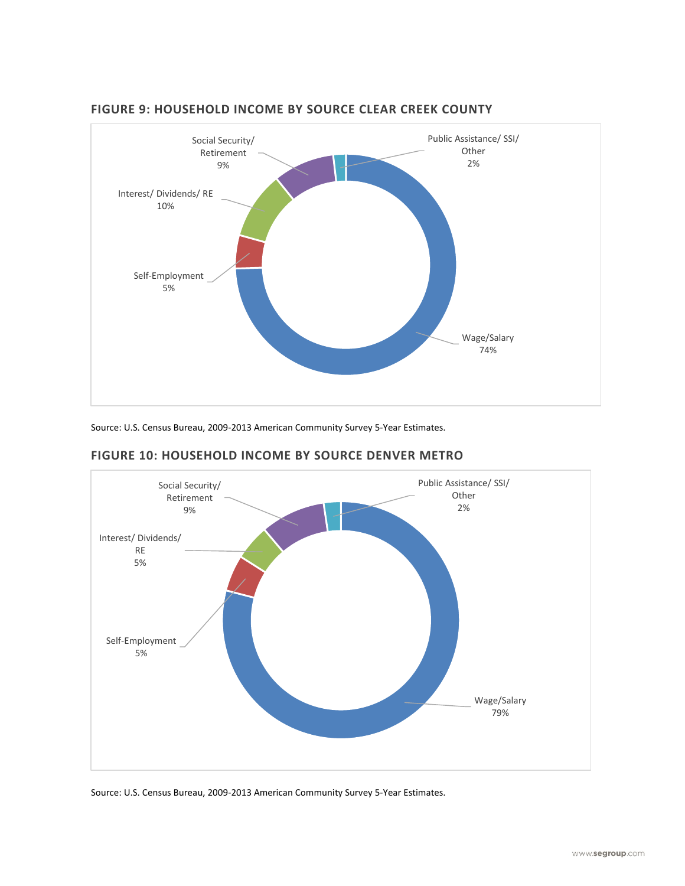

#### **FIGURE 9: HOUSEHOLD INCOME BY SOURCE CLEAR CREEK COUNTY**

Source: U.S. Census Bureau, 2009-2013 American Community Survey 5-Year Estimates.



## **FIGURE 10: HOUSEHOLD INCOME BY SOURCE DENVER METRO**

Source: U.S. Census Bureau, 2009-2013 American Community Survey 5-Year Estimates.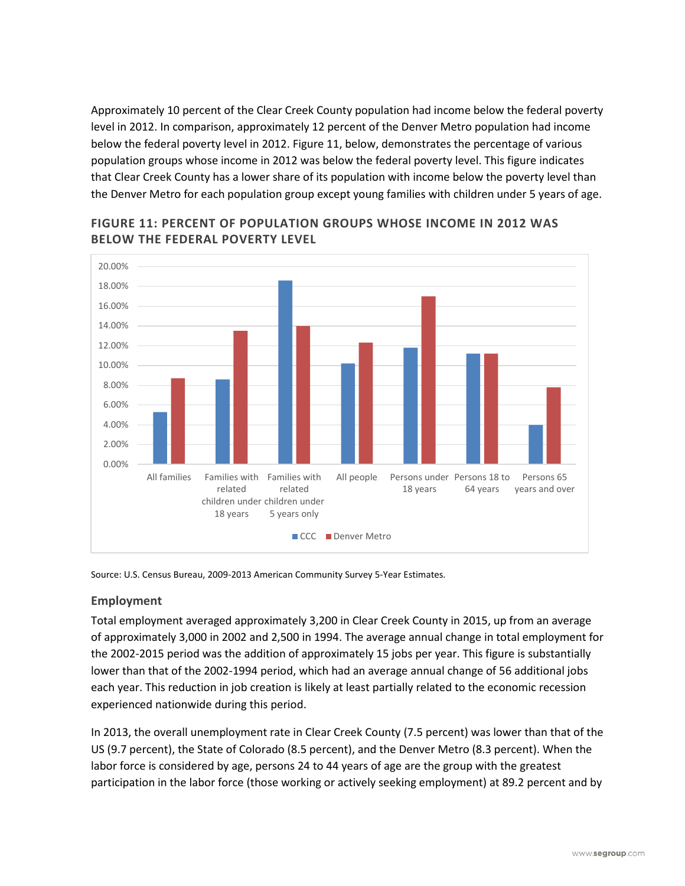Approximately 10 percent of the Clear Creek County population had income below the federal poverty level in 2012. In comparison, approximately 12 percent of the Denver Metro population had income below the federal poverty level in 2012. Figure 11, below, demonstrates the percentage of various population groups whose income in 2012 was below the federal poverty level. This figure indicates that Clear Creek County has a lower share of its population with income below the poverty level than the Denver Metro for each population group except young families with children under 5 years of age.



**FIGURE 11: PERCENT OF POPULATION GROUPS WHOSE INCOME IN 2012 WAS BELOW THE FEDERAL POVERTY LEVEL**

Source: U.S. Census Bureau, 2009-2013 American Community Survey 5-Year Estimates.

## **Employment**

Total employment averaged approximately 3,200 in Clear Creek County in 2015, up from an average of approximately 3,000 in 2002 and 2,500 in 1994. The average annual change in total employment for the 2002-2015 period was the addition of approximately 15 jobs per year. This figure is substantially lower than that of the 2002-1994 period, which had an average annual change of 56 additional jobs each year. This reduction in job creation is likely at least partially related to the economic recession experienced nationwide during this period.

In 2013, the overall unemployment rate in Clear Creek County (7.5 percent) was lower than that of the US (9.7 percent), the State of Colorado (8.5 percent), and the Denver Metro (8.3 percent). When the labor force is considered by age, persons 24 to 44 years of age are the group with the greatest participation in the labor force (those working or actively seeking employment) at 89.2 percent and by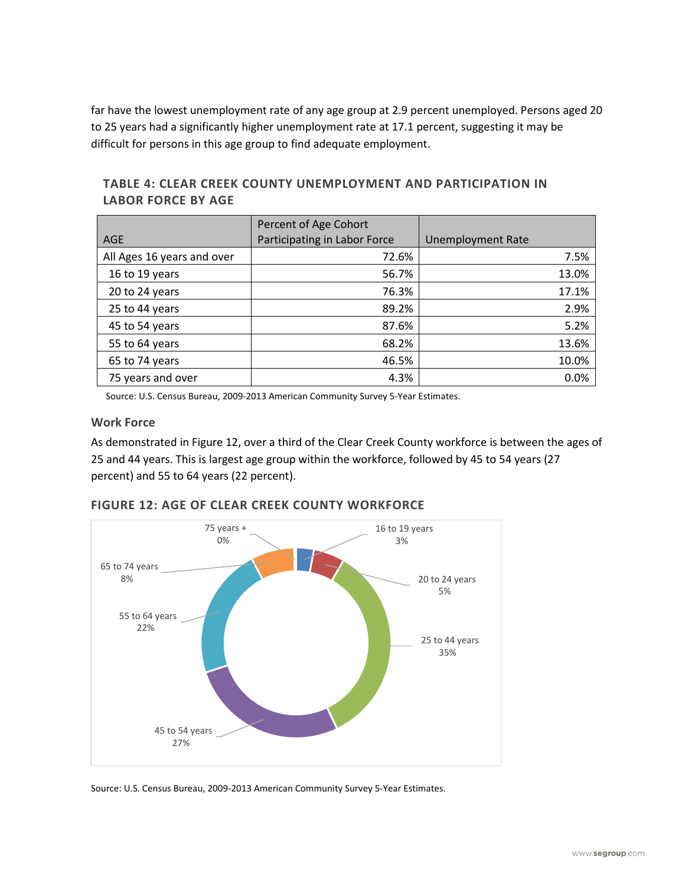far have the lowest unemployment rate of any age group at 2.9 percent unemployed. Persons aged 20 to 25 years had a significantly higher unemployment rate at 17.1 percent, suggesting it may be difficult for persons in this age group to find adequate employment.

| AGE                        | Percent of Age Cohort<br>Participating in Labor Force | <b>Unemployment Rate</b> |
|----------------------------|-------------------------------------------------------|--------------------------|
|                            |                                                       |                          |
| All Ages 16 years and over | 72.6%                                                 | 7.5%                     |
| 16 to 19 years             | 56.7%                                                 | 13.0%                    |
| 20 to 24 years             | 76.3%                                                 | 17.1%                    |
| 25 to 44 years             | 89.2%                                                 | 2.9%                     |
| 45 to 54 years             | 87.6%                                                 | 5.2%                     |
| 55 to 64 years             | 68.2%                                                 | 13.6%                    |
| 65 to 74 years             | 46.5%                                                 | 10.0%                    |
| 75 years and over          | 4.3%                                                  | 0.0%                     |

**TABLE 4: CLEAR CREEK COUNTY UNEMPLOYMENT AND PARTICIPATION IN LABOR FORCE BY AGE**

Source: U.S. Census Bureau, 2009-2013 American Community Survey 5-Year Estimates.

## **Work Force**

As demonstrated in Figure 12, over a third of the Clear Creek County workforce is between the ages of 25 and 44 years. This is largest age group within the workforce, followed by 45 to 54 years (27 percent) and 55 to 64 years (22 percent).



## **FIGURE 12: AGE OF CLEAR CREEK COUNTY WORKFORCE**

Source: U.S. Census Bureau, 2009-2013 American Community Survey 5-Year Estimates.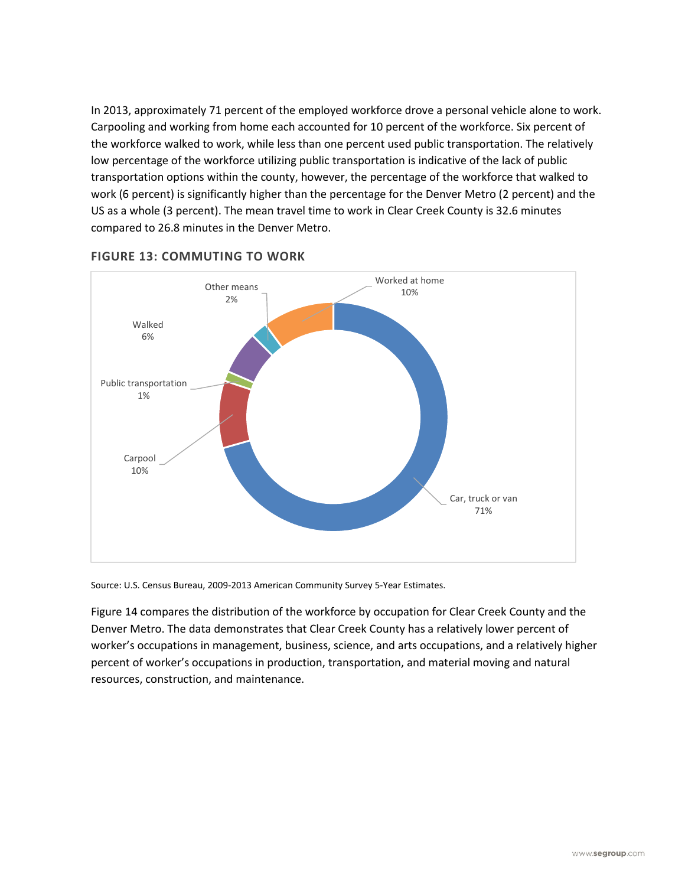In 2013, approximately 71 percent of the employed workforce drove a personal vehicle alone to work. Carpooling and working from home each accounted for 10 percent of the workforce. Six percent of the workforce walked to work, while less than one percent used public transportation. The relatively low percentage of the workforce utilizing public transportation is indicative of the lack of public transportation options within the county, however, the percentage of the workforce that walked to work (6 percent) is significantly higher than the percentage for the Denver Metro (2 percent) and the US as a whole (3 percent). The mean travel time to work in Clear Creek County is 32.6 minutes compared to 26.8 minutes in the Denver Metro.



## **FIGURE 13: COMMUTING TO WORK**

Source: U.S. Census Bureau, 2009-2013 American Community Survey 5-Year Estimates.

Figure 14 compares the distribution of the workforce by occupation for Clear Creek County and the Denver Metro. The data demonstrates that Clear Creek County has a relatively lower percent of worker's occupations in management, business, science, and arts occupations, and a relatively higher percent of worker's occupations in production, transportation, and material moving and natural resources, construction, and maintenance.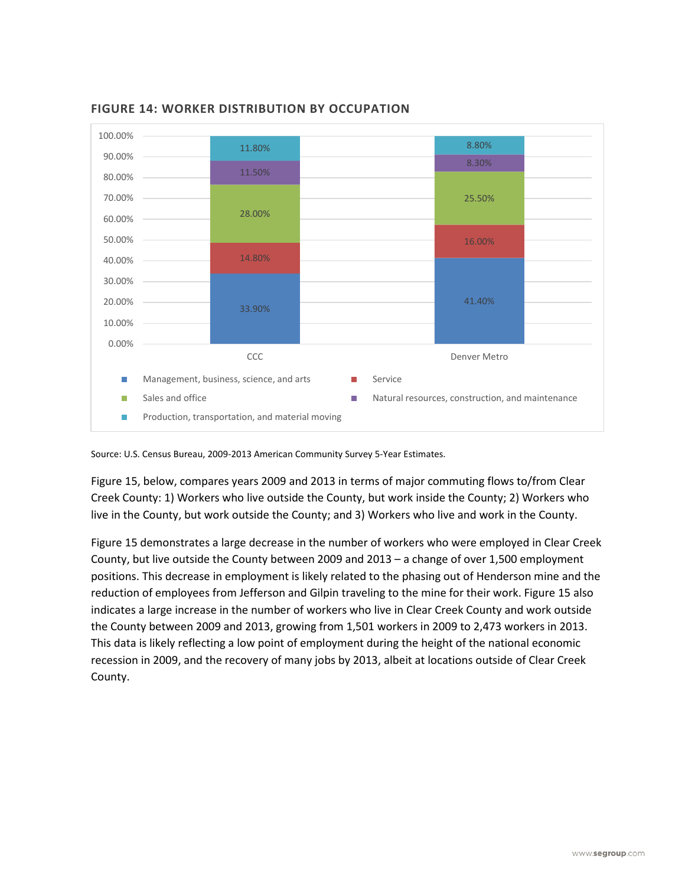

**FIGURE 14: WORKER DISTRIBUTION BY OCCUPATION**

Source: U.S. Census Bureau, 2009-2013 American Community Survey 5-Year Estimates.

Figure 15, below, compares years 2009 and 2013 in terms of major commuting flows to/from Clear Creek County: 1) Workers who live outside the County, but work inside the County; 2) Workers who live in the County, but work outside the County; and 3) Workers who live and work in the County.

Figure 15 demonstrates a large decrease in the number of workers who were employed in Clear Creek County, but live outside the County between 2009 and 2013 – a change of over 1,500 employment positions. This decrease in employment is likely related to the phasing out of Henderson mine and the reduction of employees from Jefferson and Gilpin traveling to the mine for their work. Figure 15 also indicates a large increase in the number of workers who live in Clear Creek County and work outside the County between 2009 and 2013, growing from 1,501 workers in 2009 to 2,473 workers in 2013. This data is likely reflecting a low point of employment during the height of the national economic recession in 2009, and the recovery of many jobs by 2013, albeit at locations outside of Clear Creek County.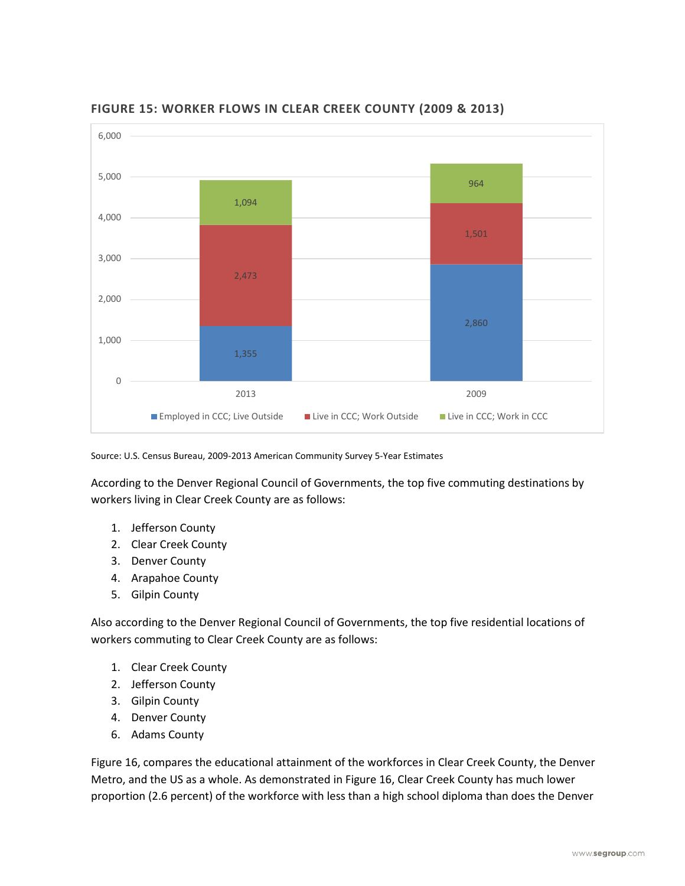

# **FIGURE 15: WORKER FLOWS IN CLEAR CREEK COUNTY (2009 & 2013)**

Source: U.S. Census Bureau, 2009-2013 American Community Survey 5-Year Estimates

According to the Denver Regional Council of Governments, the top five commuting destinations by workers living in Clear Creek County are as follows:

- 1. Jefferson County
- 2. Clear Creek County
- 3. Denver County
- 4. Arapahoe County
- 5. Gilpin County

Also according to the Denver Regional Council of Governments, the top five residential locations of workers commuting to Clear Creek County are as follows:

- 1. Clear Creek County
- 2. Jefferson County
- 3. Gilpin County
- 4. Denver County
- 6. Adams County

Figure 16, compares the educational attainment of the workforces in Clear Creek County, the Denver Metro, and the US as a whole. As demonstrated in Figure 16, Clear Creek County has much lower proportion (2.6 percent) of the workforce with less than a high school diploma than does the Denver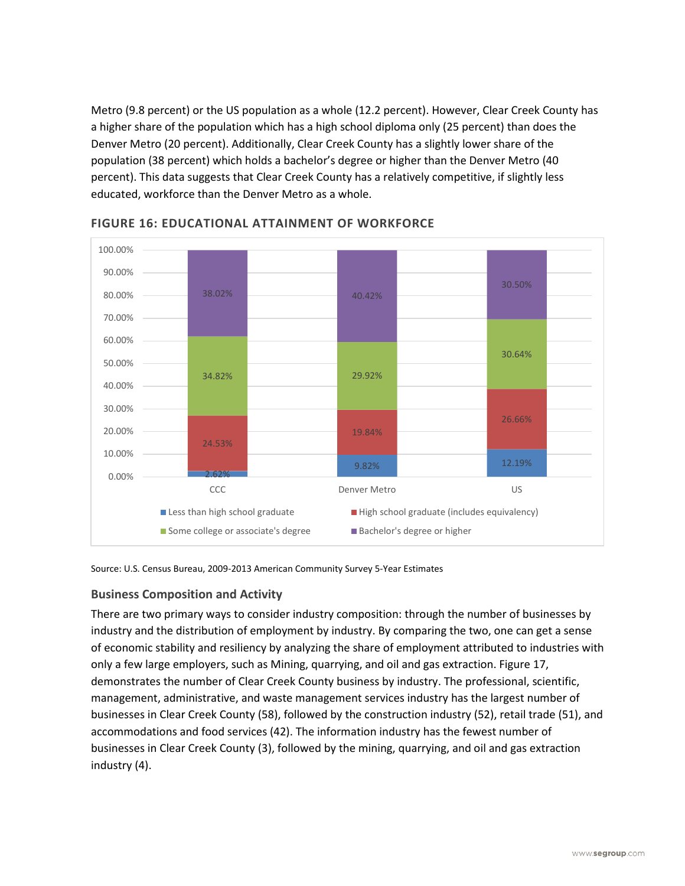Metro (9.8 percent) or the US population as a whole (12.2 percent). However, Clear Creek County has a higher share of the population which has a high school diploma only (25 percent) than does the Denver Metro (20 percent). Additionally, Clear Creek County has a slightly lower share of the population (38 percent) which holds a bachelor's degree or higher than the Denver Metro (40 percent). This data suggests that Clear Creek County has a relatively competitive, if slightly less educated, workforce than the Denver Metro as a whole.



**FIGURE 16: EDUCATIONAL ATTAINMENT OF WORKFORCE**

Source: U.S. Census Bureau, 2009-2013 American Community Survey 5-Year Estimates

# **Business Composition and Activity**

There are two primary ways to consider industry composition: through the number of businesses by industry and the distribution of employment by industry. By comparing the two, one can get a sense of economic stability and resiliency by analyzing the share of employment attributed to industries with only a few large employers, such as Mining, quarrying, and oil and gas extraction. Figure 17, demonstrates the number of Clear Creek County business by industry. The professional, scientific, management, administrative, and waste management services industry has the largest number of businesses in Clear Creek County (58), followed by the construction industry (52), retail trade (51), and accommodations and food services (42). The information industry has the fewest number of businesses in Clear Creek County (3), followed by the mining, quarrying, and oil and gas extraction industry (4).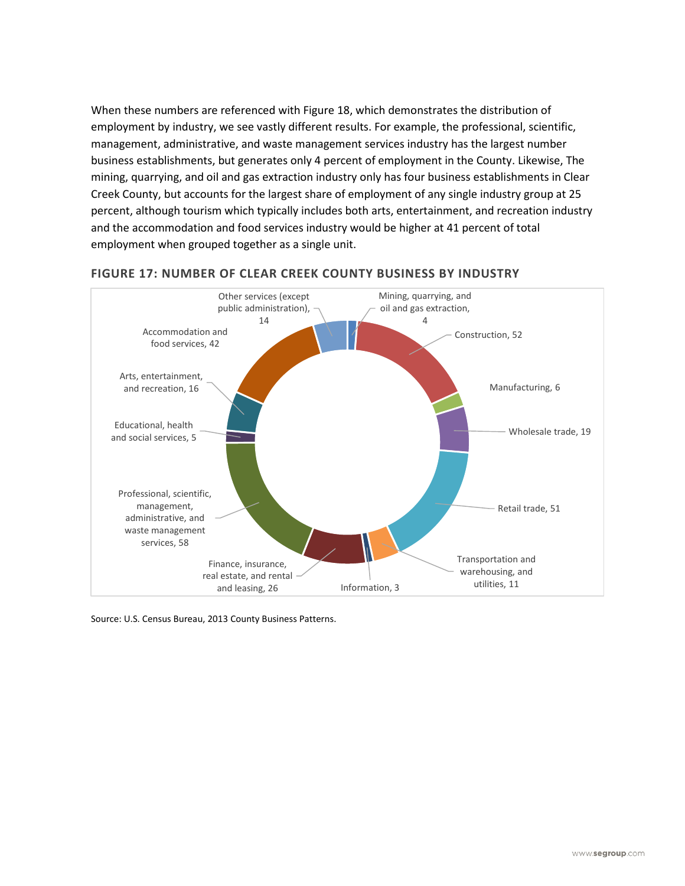When these numbers are referenced with Figure 18, which demonstrates the distribution of employment by industry, we see vastly different results. For example, the professional, scientific, management, administrative, and waste management services industry has the largest number business establishments, but generates only 4 percent of employment in the County. Likewise, The mining, quarrying, and oil and gas extraction industry only has four business establishments in Clear Creek County, but accounts for the largest share of employment of any single industry group at 25 percent, although tourism which typically includes both arts, entertainment, and recreation industry and the accommodation and food services industry would be higher at 41 percent of total employment when grouped together as a single unit.



## **FIGURE 17: NUMBER OF CLEAR CREEK COUNTY BUSINESS BY INDUSTRY**

Source: U.S. Census Bureau, 2013 County Business Patterns.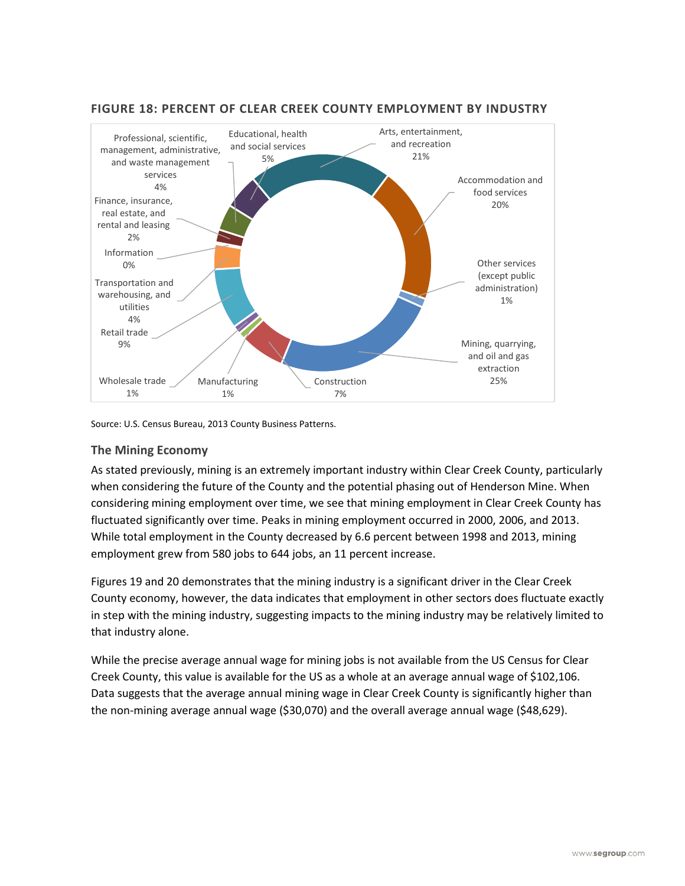

#### **FIGURE 18: PERCENT OF CLEAR CREEK COUNTY EMPLOYMENT BY INDUSTRY**

Source: U.S. Census Bureau, 2013 County Business Patterns.

#### **The Mining Economy**

As stated previously, mining is an extremely important industry within Clear Creek County, particularly when considering the future of the County and the potential phasing out of Henderson Mine. When considering mining employment over time, we see that mining employment in Clear Creek County has fluctuated significantly over time. Peaks in mining employment occurred in 2000, 2006, and 2013. While total employment in the County decreased by 6.6 percent between 1998 and 2013, mining employment grew from 580 jobs to 644 jobs, an 11 percent increase.

Figures 19 and 20 demonstrates that the mining industry is a significant driver in the Clear Creek County economy, however, the data indicates that employment in other sectors does fluctuate exactly in step with the mining industry, suggesting impacts to the mining industry may be relatively limited to that industry alone.

While the precise average annual wage for mining jobs is not available from the US Census for Clear Creek County, this value is available for the US as a whole at an average annual wage of \$102,106. Data suggests that the average annual mining wage in Clear Creek County is significantly higher than the non-mining average annual wage (\$30,070) and the overall average annual wage (\$48,629).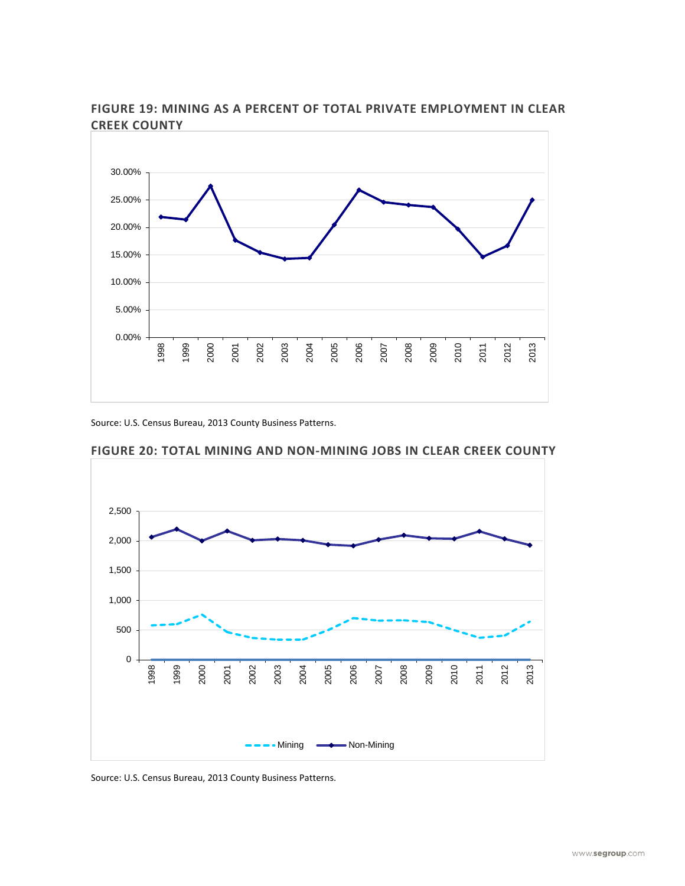

**FIGURE 19: MINING AS A PERCENT OF TOTAL PRIVATE EMPLOYMENT IN CLEAR CREEK COUNTY**

Source: U.S. Census Bureau, 2013 County Business Patterns.



**FIGURE 20: TOTAL MINING AND NON-MINING JOBS IN CLEAR CREEK COUNTY**

Source: U.S. Census Bureau, 2013 County Business Patterns.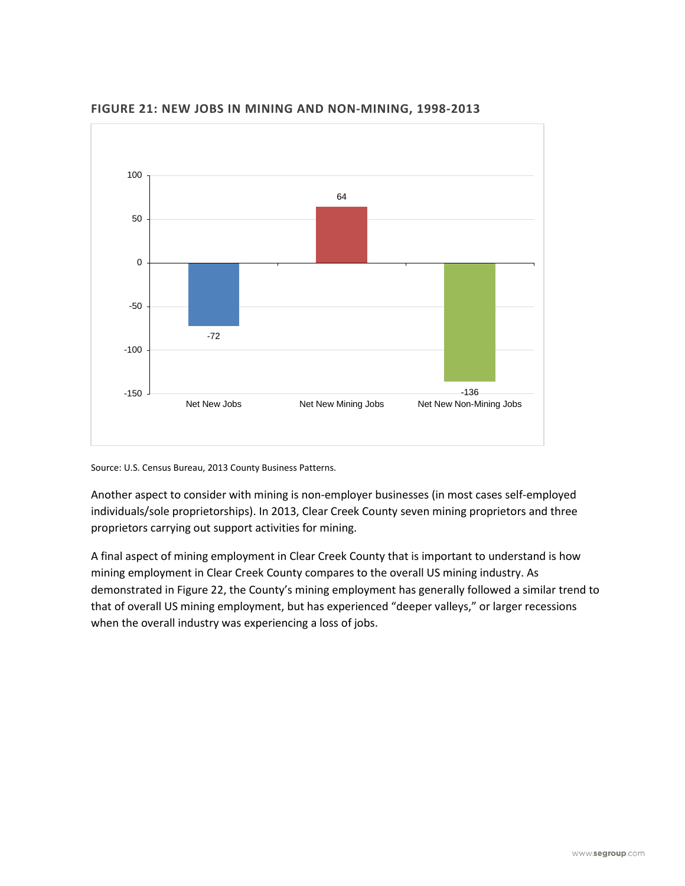

**FIGURE 21: NEW JOBS IN MINING AND NON-MINING, 1998-2013**

Another aspect to consider with mining is non-employer businesses (in most cases self-employed individuals/sole proprietorships). In 2013, Clear Creek County seven mining proprietors and three proprietors carrying out support activities for mining.

A final aspect of mining employment in Clear Creek County that is important to understand is how mining employment in Clear Creek County compares to the overall US mining industry. As demonstrated in Figure 22, the County's mining employment has generally followed a similar trend to that of overall US mining employment, but has experienced "deeper valleys," or larger recessions when the overall industry was experiencing a loss of jobs.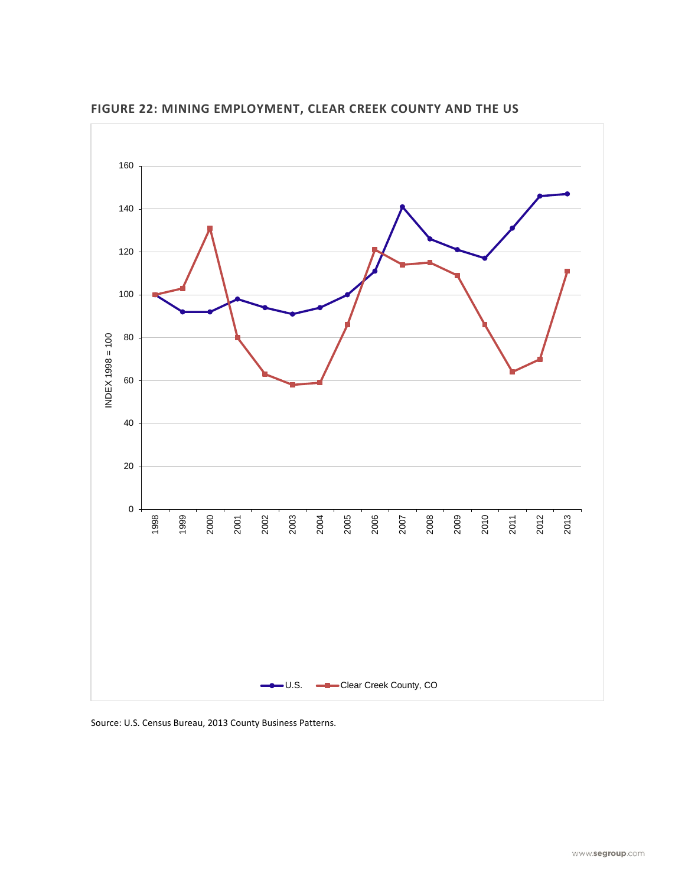

**FIGURE 22: MINING EMPLOYMENT, CLEAR CREEK COUNTY AND THE US**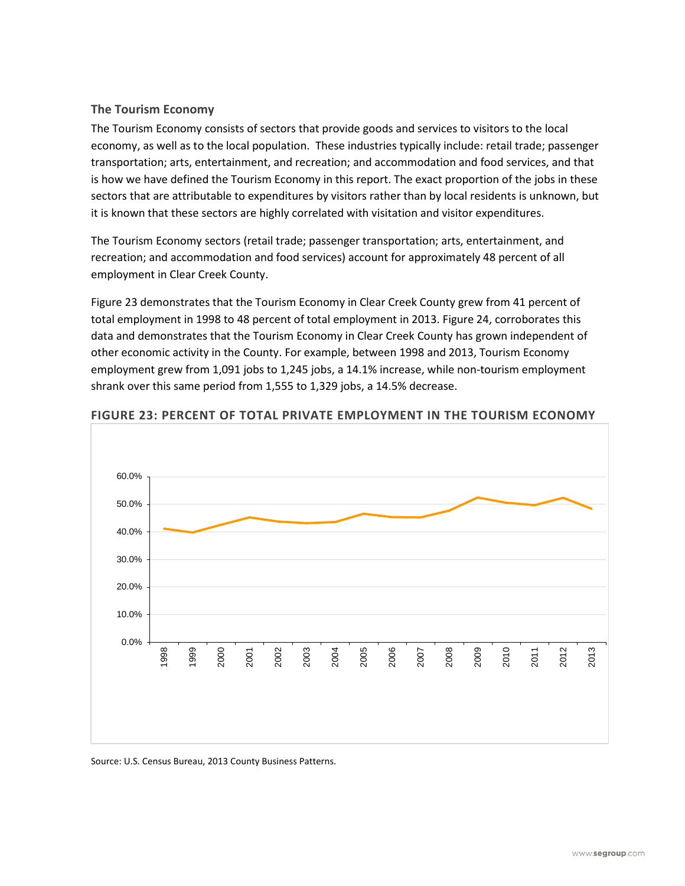### **The Tourism Economy**

The Tourism Economy consists of sectors that provide goods and services to visitors to the local economy, as well as to the local population. These industries typically include: retail trade; passenger transportation; arts, entertainment, and recreation; and accommodation and food services, and that is how we have defined the Tourism Economy in this report. The exact proportion of the jobs in these sectors that are attributable to expenditures by visitors rather than by local residents is unknown, but it is known that these sectors are highly correlated with visitation and visitor expenditures.

The Tourism Economy sectors (retail trade; passenger transportation; arts, entertainment, and recreation; and accommodation and food services) account for approximately 48 percent of all employment in Clear Creek County.

Figure 23 demonstrates that the Tourism Economy in Clear Creek County grew from 41 percent of total employment in 1998 to 48 percent of total employment in 2013. Figure 24, corroborates this data and demonstrates that the Tourism Economy in Clear Creek County has grown independent of other economic activity in the County. For example, between 1998 and 2013, Tourism Economy employment grew from 1,091 jobs to 1,245 jobs, a 14.1% increase, while non-tourism employment shrank over this same period from 1,555 to 1,329 jobs, a 14.5% decrease.



#### **FIGURE 23: PERCENT OF TOTAL PRIVATE EMPLOYMENT IN THE TOURISM ECONOMY**

Source: U.S. Census Bureau, 2013 County Business Patterns.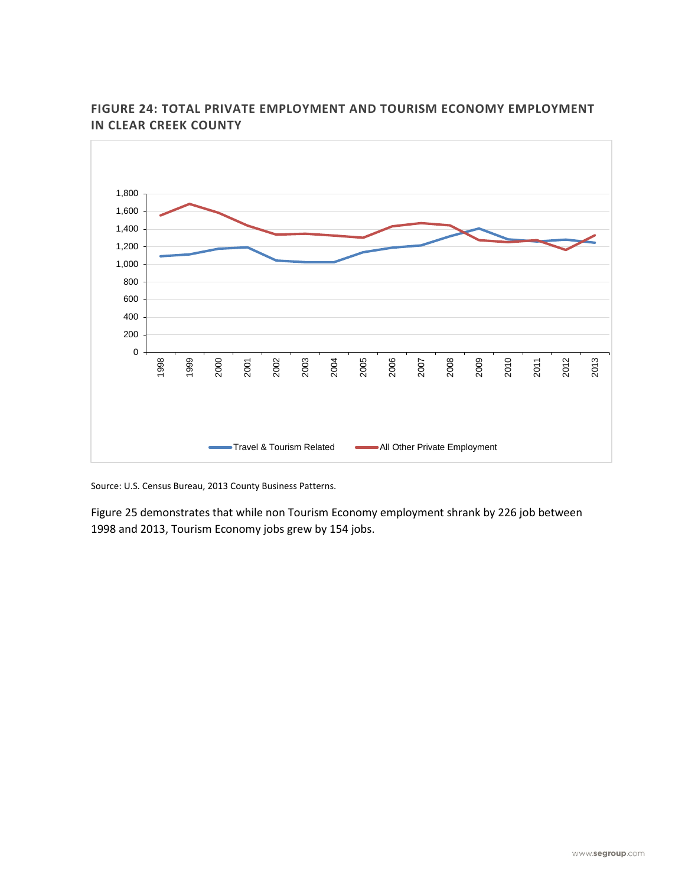

# **FIGURE 24: TOTAL PRIVATE EMPLOYMENT AND TOURISM ECONOMY EMPLOYMENT IN CLEAR CREEK COUNTY**

Source: U.S. Census Bureau, 2013 County Business Patterns.

Figure 25 demonstrates that while non Tourism Economy employment shrank by 226 job between 1998 and 2013, Tourism Economy jobs grew by 154 jobs.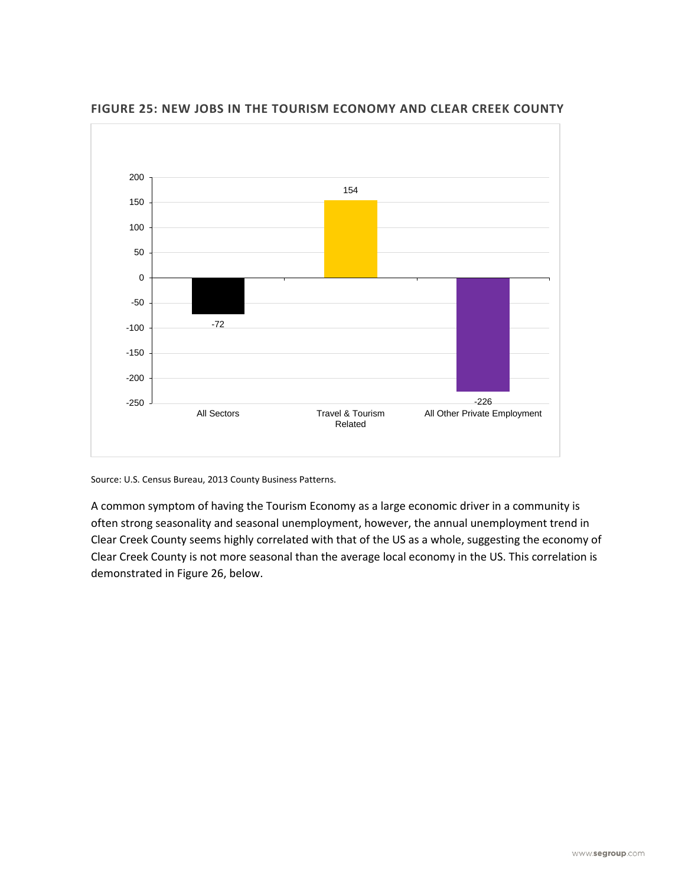

**FIGURE 25: NEW JOBS IN THE TOURISM ECONOMY AND CLEAR CREEK COUNTY**

A common symptom of having the Tourism Economy as a large economic driver in a community is often strong seasonality and seasonal unemployment, however, the annual unemployment trend in Clear Creek County seems highly correlated with that of the US as a whole, suggesting the economy of Clear Creek County is not more seasonal than the average local economy in the US. This correlation is demonstrated in Figure 26, below.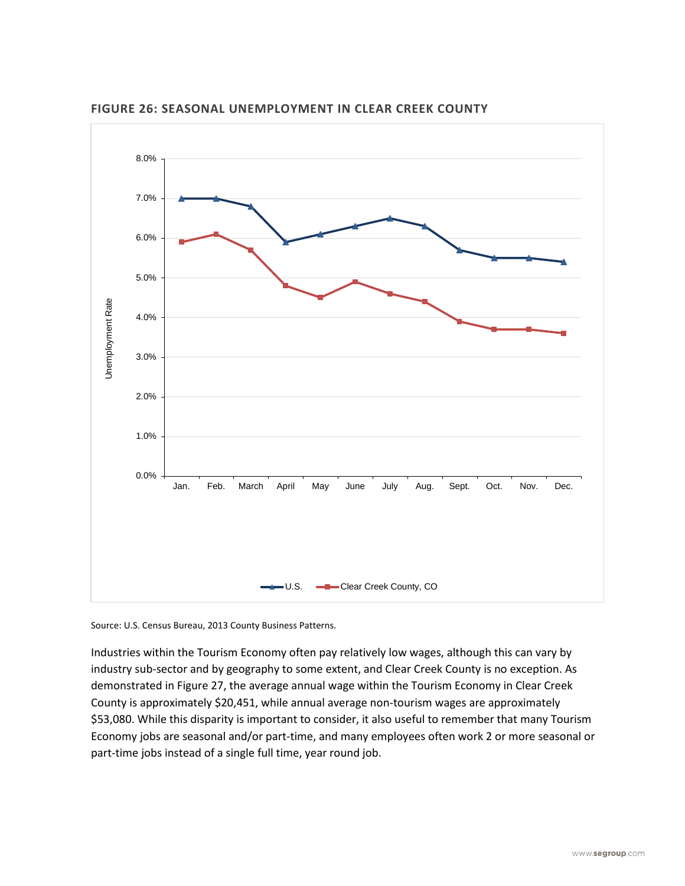

**FIGURE 26: SEASONAL UNEMPLOYMENT IN CLEAR CREEK COUNTY**

Industries within the Tourism Economy often pay relatively low wages, although this can vary by industry sub-sector and by geography to some extent, and Clear Creek County is no exception. As demonstrated in Figure 27, the average annual wage within the Tourism Economy in Clear Creek County is approximately \$20,451, while annual average non-tourism wages are approximately \$53,080. While this disparity is important to consider, it also useful to remember that many Tourism Economy jobs are seasonal and/or part-time, and many employees often work 2 or more seasonal or part-time jobs instead of a single full time, year round job.